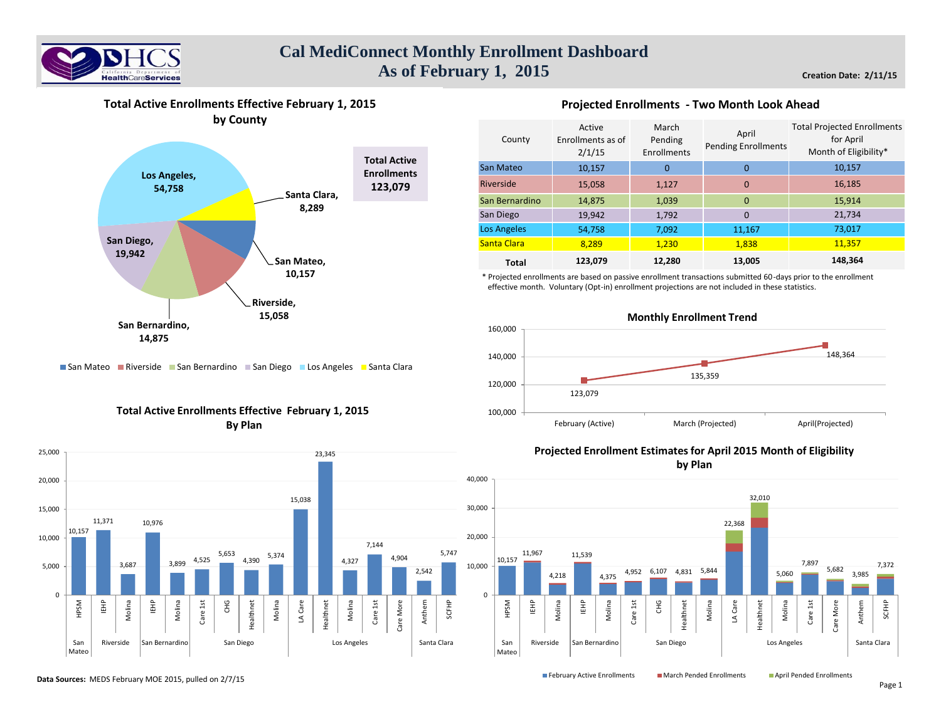



**Total Active Enrollments Effective February 1, 2015**

### **Projected Enrollments - Two Month Look Ahead**

| County             | Active<br>Enrollments as of<br>2/1/15 | March<br>Pending<br>Enrollments | April<br><b>Pending Enrollments</b> | <b>Total Projected Enrollments</b><br>for April<br>Month of Eligibility* |
|--------------------|---------------------------------------|---------------------------------|-------------------------------------|--------------------------------------------------------------------------|
| San Mateo          | 10,157                                | $\Omega$                        | $\Omega$                            | 10,157                                                                   |
| <b>Riverside</b>   | 15,058                                | 1,127                           | $\mathbf 0$                         | 16,185                                                                   |
| San Bernardino     | 14,875                                | 1,039                           | $\Omega$                            | 15,914                                                                   |
| San Diego          | 19,942                                | 1,792                           | $\Omega$                            | 21,734                                                                   |
| <b>Los Angeles</b> | 54,758                                | 7,092                           | 11,167                              | 73,017                                                                   |
| Santa Clara        | 8,289                                 | 1,230                           | 1,838                               | 11,357                                                                   |
| <b>Total</b>       | 123,079                               | 12,280                          | 13,005                              | 148,364                                                                  |

\* Projected enrollments are based on passive enrollment transactions submitted 60-days prior to the enrollment effective month. Voluntary (Opt-in) enrollment projections are not included in these statistics.



San Mateo Riverside San Bernardino San Diego Los Angeles Santa Clara

# **Total Active Enrollments Effective February 1, 2015 By Plan**



# **Projected Enrollment Estimates for April 2015 Month of Eligibility by Plan**

10,157 11,967 4,218 11,539 4,375 4,952 6,107 4,831 5,844 22,368 32,010 5,060 7,897 5,682 3,985 7,372 0 10,000 20,000 30,000 40,000 HPSM IEHP Molina IEHP Molina Care 1st CHG Healthnet Molina LA Care Healthnet Molina Care 1st Care More Anthem SCFHP San Mateo Riverside San Bernardino San Diego National Los Angeles Santa Clara

**Data Sources:** MEDS February MOE 2015, pulled on 2/7/15